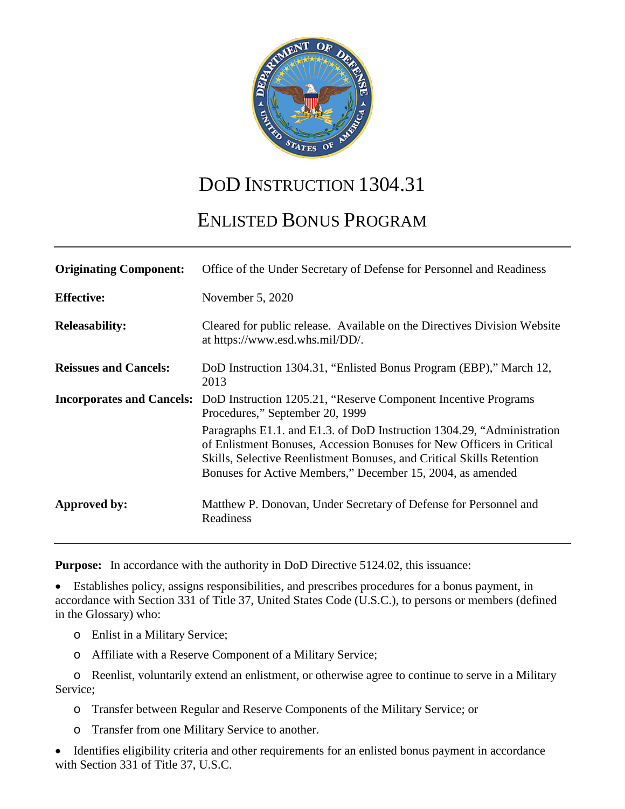

# DOD INSTRUCTION 1304.31

# ENLISTED BONUS PROGRAM

| <b>Originating Component:</b>    | Office of the Under Secretary of Defense for Personnel and Readiness                                                                                                                                                                                                                   |  |  |
|----------------------------------|----------------------------------------------------------------------------------------------------------------------------------------------------------------------------------------------------------------------------------------------------------------------------------------|--|--|
| <b>Effective:</b>                | November 5, 2020                                                                                                                                                                                                                                                                       |  |  |
| <b>Releasability:</b>            | Cleared for public release. Available on the Directives Division Website<br>at https://www.esd.whs.mil/DD/.                                                                                                                                                                            |  |  |
| <b>Reissues and Cancels:</b>     | DoD Instruction 1304.31, "Enlisted Bonus Program (EBP)," March 12,<br>2013                                                                                                                                                                                                             |  |  |
| <b>Incorporates and Cancels:</b> | DoD Instruction 1205.21, "Reserve Component Incentive Programs"<br>Procedures," September 20, 1999                                                                                                                                                                                     |  |  |
|                                  | Paragraphs E1.1. and E1.3. of DoD Instruction 1304.29, "Administration<br>of Enlistment Bonuses, Accession Bonuses for New Officers in Critical<br>Skills, Selective Reenlistment Bonuses, and Critical Skills Retention<br>Bonuses for Active Members," December 15, 2004, as amended |  |  |
| Approved by:                     | Matthew P. Donovan, Under Secretary of Defense for Personnel and<br>Readiness                                                                                                                                                                                                          |  |  |

**Purpose:** In accordance with the authority in DoD Directive 5124.02, this issuance:

• Establishes policy, assigns responsibilities, and prescribes procedures for a bonus payment, in accordance with Section 331 of Title 37, United States Code (U.S.C.), to persons or members (defined in the Glossary) who:

- o Enlist in a Military Service;
- o Affiliate with a Reserve Component of a Military Service;

o Reenlist, voluntarily extend an enlistment, or otherwise agree to continue to serve in a Military Service;

- o Transfer between Regular and Reserve Components of the Military Service; or
- o Transfer from one Military Service to another.

• Identifies eligibility criteria and other requirements for an enlisted bonus payment in accordance with Section 331 of Title 37, U.S.C.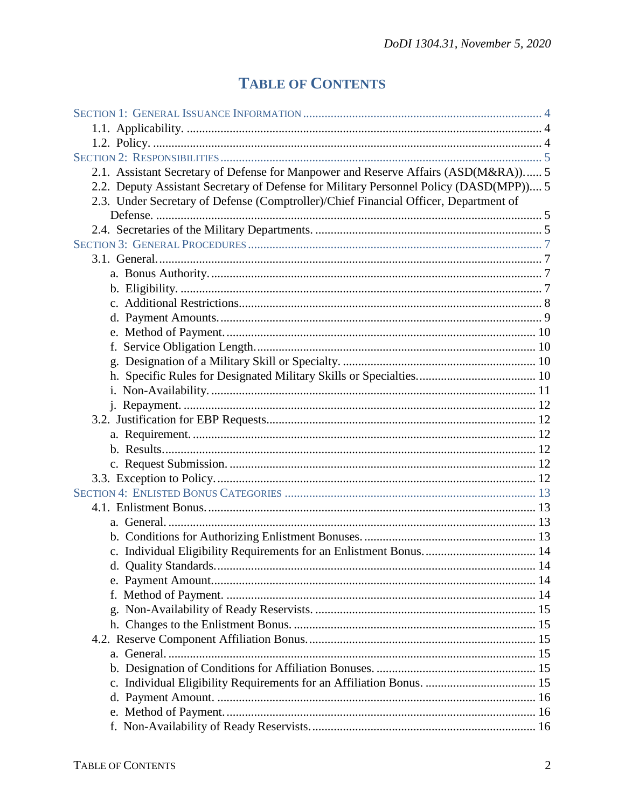# **TABLE OF CONTENTS**

| 2.1. Assistant Secretary of Defense for Manpower and Reserve Affairs (ASD(M&RA)) 5     |  |
|----------------------------------------------------------------------------------------|--|
| 2.2. Deputy Assistant Secretary of Defense for Military Personnel Policy (DASD(MPP)) 5 |  |
| 2.3. Under Secretary of Defense (Comptroller)/Chief Financial Officer, Department of   |  |
|                                                                                        |  |
|                                                                                        |  |
|                                                                                        |  |
|                                                                                        |  |
|                                                                                        |  |
|                                                                                        |  |
|                                                                                        |  |
|                                                                                        |  |
|                                                                                        |  |
|                                                                                        |  |
|                                                                                        |  |
|                                                                                        |  |
|                                                                                        |  |
|                                                                                        |  |
|                                                                                        |  |
|                                                                                        |  |
|                                                                                        |  |
|                                                                                        |  |
|                                                                                        |  |
|                                                                                        |  |
|                                                                                        |  |
|                                                                                        |  |
|                                                                                        |  |
|                                                                                        |  |
|                                                                                        |  |
|                                                                                        |  |
|                                                                                        |  |
|                                                                                        |  |
|                                                                                        |  |
|                                                                                        |  |
|                                                                                        |  |
|                                                                                        |  |
|                                                                                        |  |
|                                                                                        |  |
|                                                                                        |  |
|                                                                                        |  |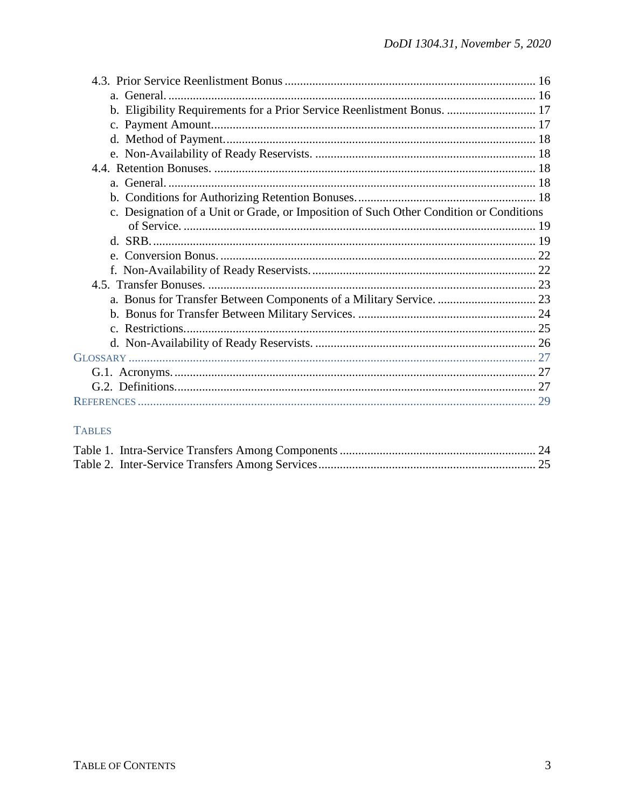| b. Eligibility Requirements for a Prior Service Reenlistment Bonus.  17                |  |
|----------------------------------------------------------------------------------------|--|
|                                                                                        |  |
|                                                                                        |  |
|                                                                                        |  |
|                                                                                        |  |
|                                                                                        |  |
|                                                                                        |  |
| c. Designation of a Unit or Grade, or Imposition of Such Other Condition or Conditions |  |
|                                                                                        |  |
|                                                                                        |  |
|                                                                                        |  |
|                                                                                        |  |
|                                                                                        |  |
|                                                                                        |  |
|                                                                                        |  |
|                                                                                        |  |
|                                                                                        |  |
|                                                                                        |  |
|                                                                                        |  |
|                                                                                        |  |
|                                                                                        |  |

## **TABLES**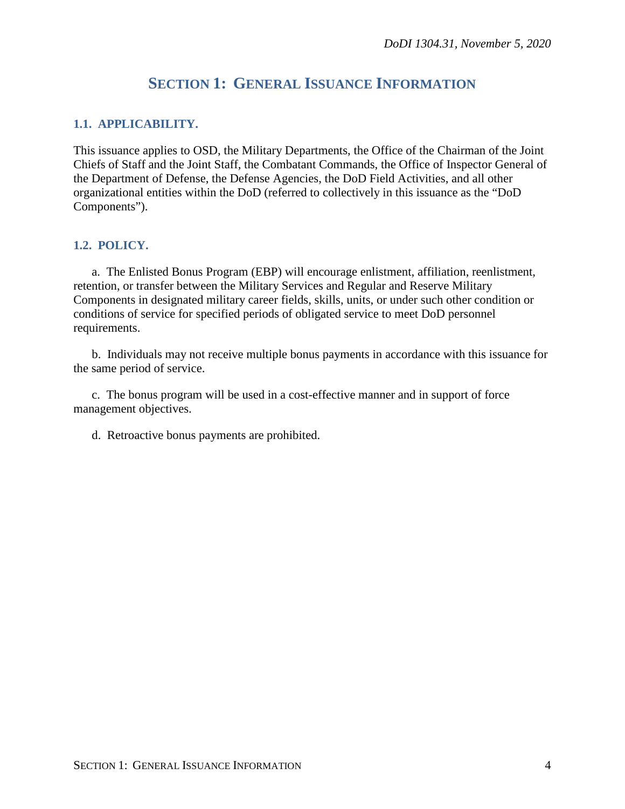## **SECTION 1: GENERAL ISSUANCE INFORMATION**

## <span id="page-3-1"></span><span id="page-3-0"></span>**1.1. APPLICABILITY.**

This issuance applies to OSD, the Military Departments, the Office of the Chairman of the Joint Chiefs of Staff and the Joint Staff, the Combatant Commands, the Office of Inspector General of the Department of Defense, the Defense Agencies, the DoD Field Activities, and all other organizational entities within the DoD (referred to collectively in this issuance as the "DoD Components").

## <span id="page-3-2"></span>**1.2. POLICY.**

a. The Enlisted Bonus Program (EBP) will encourage enlistment, affiliation, reenlistment, retention, or transfer between the Military Services and Regular and Reserve Military Components in designated military career fields, skills, units, or under such other condition or conditions of service for specified periods of obligated service to meet DoD personnel requirements.

b. Individuals may not receive multiple bonus payments in accordance with this issuance for the same period of service.

c. The bonus program will be used in a cost-effective manner and in support of force management objectives.

d. Retroactive bonus payments are prohibited.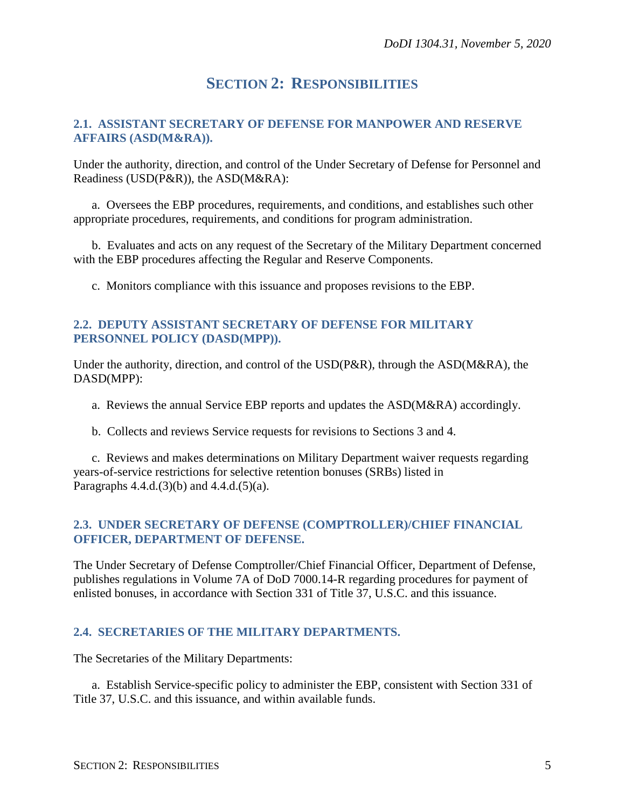## **SECTION 2: RESPONSIBILITIES**

## <span id="page-4-1"></span><span id="page-4-0"></span>**2.1. ASSISTANT SECRETARY OF DEFENSE FOR MANPOWER AND RESERVE AFFAIRS (ASD(M&RA)).**

Under the authority, direction, and control of the Under Secretary of Defense for Personnel and Readiness (USD(P&R)), the ASD(M&RA):

a. Oversees the EBP procedures, requirements, and conditions, and establishes such other appropriate procedures, requirements, and conditions for program administration.

b. Evaluates and acts on any request of the Secretary of the Military Department concerned with the EBP procedures affecting the Regular and Reserve Components.

c. Monitors compliance with this issuance and proposes revisions to the EBP.

## <span id="page-4-2"></span>**2.2. DEPUTY ASSISTANT SECRETARY OF DEFENSE FOR MILITARY PERSONNEL POLICY (DASD(MPP)).**

Under the authority, direction, and control of the USD(P&R), through the ASD(M&RA), the DASD(MPP):

a. Reviews the annual Service EBP reports and updates the ASD(M&RA) accordingly.

b. Collects and reviews Service requests for revisions to Sections 3 and 4.

c. Reviews and makes determinations on Military Department waiver requests regarding years-of-service restrictions for selective retention bonuses (SRBs) listed in Paragraphs  $4.4.d.(3)(b)$  and  $4.4.d.(5)(a)$ .

## <span id="page-4-3"></span>**2.3. UNDER SECRETARY OF DEFENSE (COMPTROLLER)/CHIEF FINANCIAL OFFICER, DEPARTMENT OF DEFENSE.**

The Under Secretary of Defense Comptroller/Chief Financial Officer, Department of Defense, publishes regulations in Volume 7A of DoD 7000.14-R regarding procedures for payment of enlisted bonuses, in accordance with Section 331 of Title 37, U.S.C. and this issuance.

## <span id="page-4-4"></span>**2.4. SECRETARIES OF THE MILITARY DEPARTMENTS.**

The Secretaries of the Military Departments:

a. Establish Service-specific policy to administer the EBP, consistent with Section 331 of Title 37, U.S.C. and this issuance, and within available funds.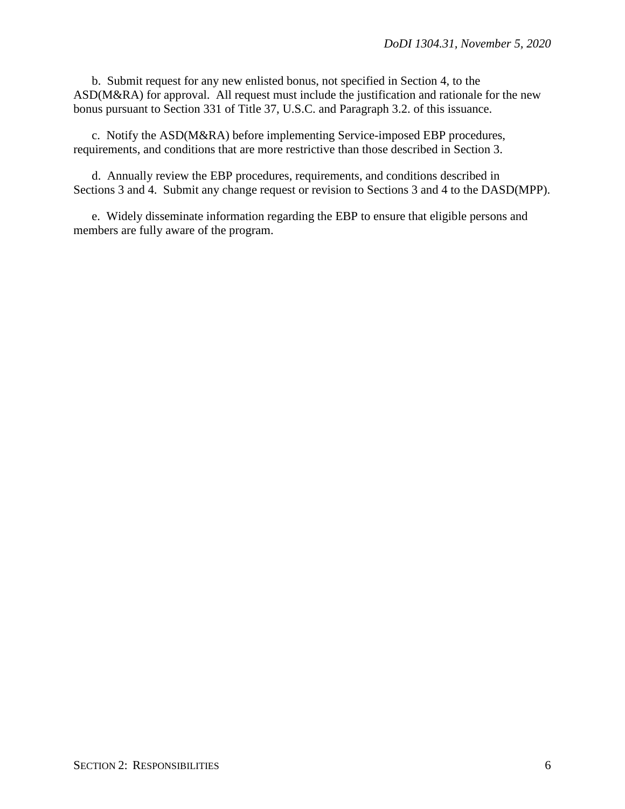b. Submit request for any new enlisted bonus, not specified in Section 4, to the ASD(M&RA) for approval. All request must include the justification and rationale for the new bonus pursuant to Section 331 of Title 37, U.S.C. and Paragraph 3.2. of this issuance.

c. Notify the ASD(M&RA) before implementing Service-imposed EBP procedures, requirements, and conditions that are more restrictive than those described in Section 3.

d. Annually review the EBP procedures, requirements, and conditions described in Sections 3 and 4. Submit any change request or revision to Sections 3 and 4 to the DASD(MPP).

e. Widely disseminate information regarding the EBP to ensure that eligible persons and members are fully aware of the program.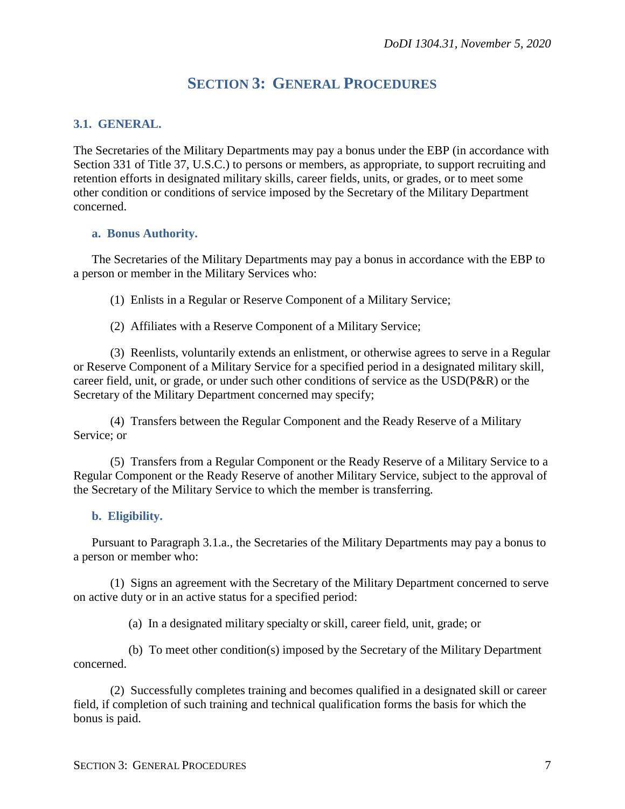## **SECTION 3: GENERAL PROCEDURES**

## <span id="page-6-1"></span><span id="page-6-0"></span>**3.1. GENERAL.**

The Secretaries of the Military Departments may pay a bonus under the EBP (in accordance with Section 331 of Title 37, U.S.C.) to persons or members, as appropriate, to support recruiting and retention efforts in designated military skills, career fields, units, or grades, or to meet some other condition or conditions of service imposed by the Secretary of the Military Department concerned.

#### <span id="page-6-2"></span>**a. Bonus Authority.**

The Secretaries of the Military Departments may pay a bonus in accordance with the EBP to a person or member in the Military Services who:

(1) Enlists in a Regular or Reserve Component of a Military Service;

(2) Affiliates with a Reserve Component of a Military Service;

(3) Reenlists, voluntarily extends an enlistment, or otherwise agrees to serve in a Regular or Reserve Component of a Military Service for a specified period in a designated military skill, career field, unit, or grade, or under such other conditions of service as the USD(P&R) or the Secretary of the Military Department concerned may specify;

(4) Transfers between the Regular Component and the Ready Reserve of a Military Service; or

(5) Transfers from a Regular Component or the Ready Reserve of a Military Service to a Regular Component or the Ready Reserve of another Military Service, subject to the approval of the Secretary of the Military Service to which the member is transferring.

## <span id="page-6-3"></span>**b. Eligibility.**

Pursuant to Paragraph 3.1.a., the Secretaries of the Military Departments may pay a bonus to a person or member who:

(1) Signs an agreement with the Secretary of the Military Department concerned to serve on active duty or in an active status for a specified period:

(a) In a designated military specialty or skill, career field, unit, grade; or

(b) To meet other condition(s) imposed by the Secretary of the Military Department concerned.

(2) Successfully completes training and becomes qualified in a designated skill or career field, if completion of such training and technical qualification forms the basis for which the bonus is paid.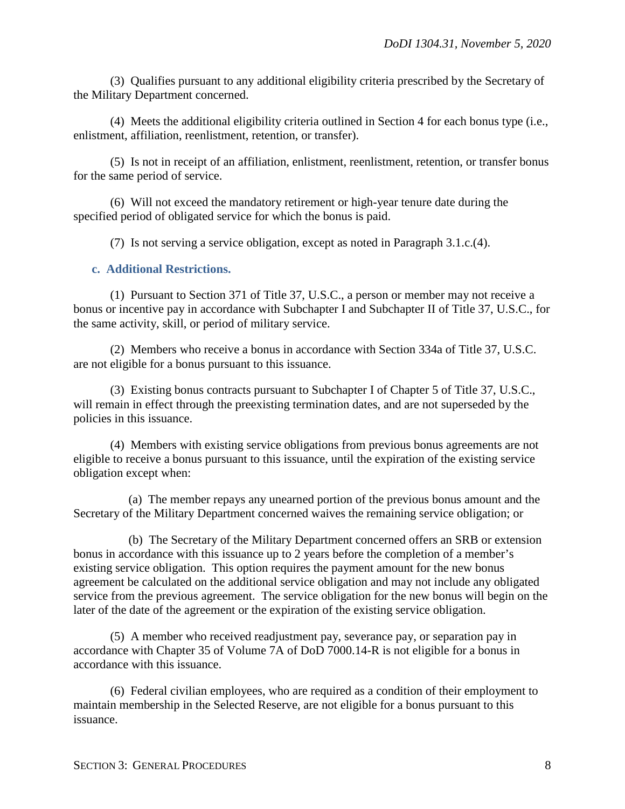(3) Qualifies pursuant to any additional eligibility criteria prescribed by the Secretary of the Military Department concerned.

(4) Meets the additional eligibility criteria outlined in Section 4 for each bonus type (i.e., enlistment, affiliation, reenlistment, retention, or transfer).

(5) Is not in receipt of an affiliation, enlistment, reenlistment, retention, or transfer bonus for the same period of service.

(6) Will not exceed the mandatory retirement or high-year tenure date during the specified period of obligated service for which the bonus is paid.

(7) Is not serving a service obligation, except as noted in Paragraph 3.1.c.(4).

## <span id="page-7-0"></span>**c. Additional Restrictions.**

(1) Pursuant to Section 371 of Title 37, U.S.C., a person or member may not receive a bonus or incentive pay in accordance with Subchapter I and Subchapter II of Title 37, U.S.C., for the same activity, skill, or period of military service.

(2) Members who receive a bonus in accordance with Section 334a of Title 37, U.S.C. are not eligible for a bonus pursuant to this issuance.

(3) Existing bonus contracts pursuant to Subchapter I of Chapter 5 of Title 37, U.S.C., will remain in effect through the preexisting termination dates, and are not superseded by the policies in this issuance.

(4) Members with existing service obligations from previous bonus agreements are not eligible to receive a bonus pursuant to this issuance, until the expiration of the existing service obligation except when:

(a) The member repays any unearned portion of the previous bonus amount and the Secretary of the Military Department concerned waives the remaining service obligation; or

(b) The Secretary of the Military Department concerned offers an SRB or extension bonus in accordance with this issuance up to 2 years before the completion of a member's existing service obligation. This option requires the payment amount for the new bonus agreement be calculated on the additional service obligation and may not include any obligated service from the previous agreement. The service obligation for the new bonus will begin on the later of the date of the agreement or the expiration of the existing service obligation.

(5) A member who received readjustment pay, severance pay, or separation pay in accordance with Chapter 35 of Volume 7A of DoD 7000.14-R is not eligible for a bonus in accordance with this issuance.

(6) Federal civilian employees, who are required as a condition of their employment to maintain membership in the Selected Reserve, are not eligible for a bonus pursuant to this issuance.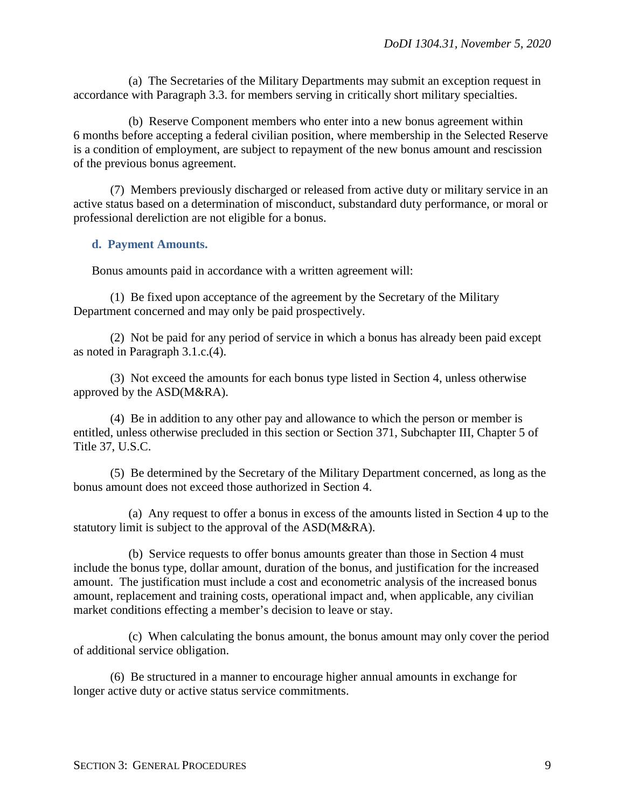(a) The Secretaries of the Military Departments may submit an exception request in accordance with Paragraph 3.3. for members serving in critically short military specialties.

(b) Reserve Component members who enter into a new bonus agreement within 6 months before accepting a federal civilian position, where membership in the Selected Reserve is a condition of employment, are subject to repayment of the new bonus amount and rescission of the previous bonus agreement.

(7) Members previously discharged or released from active duty or military service in an active status based on a determination of misconduct, substandard duty performance, or moral or professional dereliction are not eligible for a bonus.

#### <span id="page-8-0"></span>**d. Payment Amounts.**

Bonus amounts paid in accordance with a written agreement will:

(1) Be fixed upon acceptance of the agreement by the Secretary of the Military Department concerned and may only be paid prospectively.

(2) Not be paid for any period of service in which a bonus has already been paid except as noted in Paragraph 3.1.c.(4).

(3) Not exceed the amounts for each bonus type listed in Section 4, unless otherwise approved by the ASD(M&RA).

(4) Be in addition to any other pay and allowance to which the person or member is entitled, unless otherwise precluded in this section or Section 371, Subchapter III, Chapter 5 of Title 37, U.S.C.

(5) Be determined by the Secretary of the Military Department concerned, as long as the bonus amount does not exceed those authorized in Section 4.

(a) Any request to offer a bonus in excess of the amounts listed in Section 4 up to the statutory limit is subject to the approval of the ASD(M&RA).

(b) Service requests to offer bonus amounts greater than those in Section 4 must include the bonus type, dollar amount, duration of the bonus, and justification for the increased amount. The justification must include a cost and econometric analysis of the increased bonus amount, replacement and training costs, operational impact and, when applicable, any civilian market conditions effecting a member's decision to leave or stay.

(c) When calculating the bonus amount, the bonus amount may only cover the period of additional service obligation.

(6) Be structured in a manner to encourage higher annual amounts in exchange for longer active duty or active status service commitments.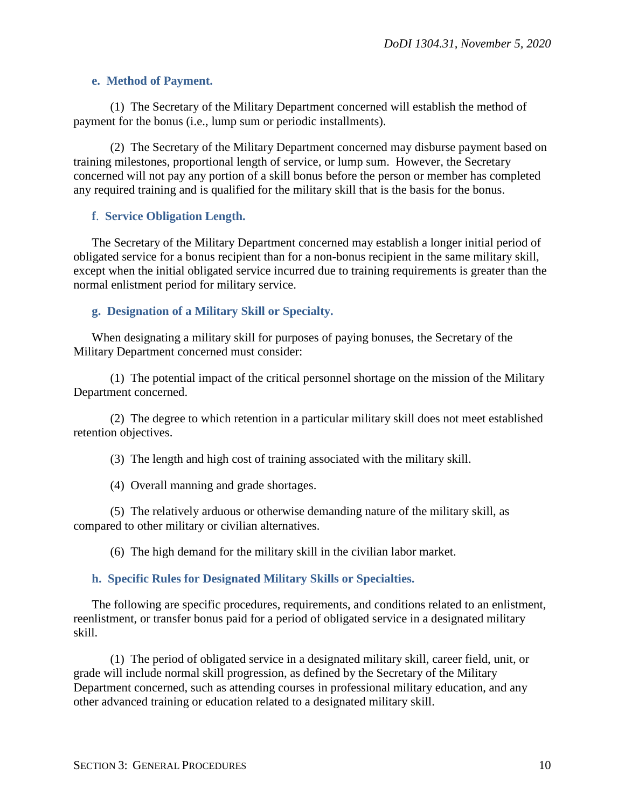#### <span id="page-9-0"></span>**e. Method of Payment.**

(1) The Secretary of the Military Department concerned will establish the method of payment for the bonus (i.e., lump sum or periodic installments).

(2) The Secretary of the Military Department concerned may disburse payment based on training milestones, proportional length of service, or lump sum. However, the Secretary concerned will not pay any portion of a skill bonus before the person or member has completed any required training and is qualified for the military skill that is the basis for the bonus.

#### <span id="page-9-1"></span>**f**. **Service Obligation Length.**

The Secretary of the Military Department concerned may establish a longer initial period of obligated service for a bonus recipient than for a non-bonus recipient in the same military skill, except when the initial obligated service incurred due to training requirements is greater than the normal enlistment period for military service.

#### <span id="page-9-2"></span>**g. Designation of a Military Skill or Specialty.**

When designating a military skill for purposes of paying bonuses, the Secretary of the Military Department concerned must consider:

(1) The potential impact of the critical personnel shortage on the mission of the Military Department concerned.

(2) The degree to which retention in a particular military skill does not meet established retention objectives.

(3) The length and high cost of training associated with the military skill.

(4) Overall manning and grade shortages.

(5) The relatively arduous or otherwise demanding nature of the military skill, as compared to other military or civilian alternatives.

(6) The high demand for the military skill in the civilian labor market.

#### <span id="page-9-3"></span>**h. Specific Rules for Designated Military Skills or Specialties.**

The following are specific procedures, requirements, and conditions related to an enlistment, reenlistment, or transfer bonus paid for a period of obligated service in a designated military skill.

(1) The period of obligated service in a designated military skill, career field, unit, or grade will include normal skill progression, as defined by the Secretary of the Military Department concerned, such as attending courses in professional military education, and any other advanced training or education related to a designated military skill.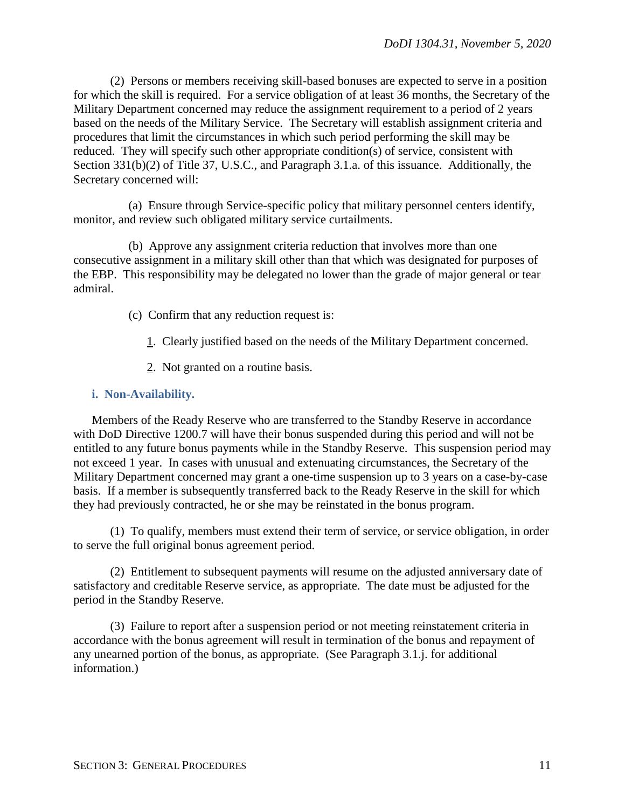(2) Persons or members receiving skill-based bonuses are expected to serve in a position for which the skill is required. For a service obligation of at least 36 months, the Secretary of the Military Department concerned may reduce the assignment requirement to a period of 2 years based on the needs of the Military Service. The Secretary will establish assignment criteria and procedures that limit the circumstances in which such period performing the skill may be reduced. They will specify such other appropriate condition(s) of service, consistent with Section 331(b)(2) of Title 37, U.S.C., and Paragraph 3.1.a. of this issuance. Additionally, the Secretary concerned will:

(a) Ensure through Service-specific policy that military personnel centers identify, monitor, and review such obligated military service curtailments.

(b) Approve any assignment criteria reduction that involves more than one consecutive assignment in a military skill other than that which was designated for purposes of the EBP. This responsibility may be delegated no lower than the grade of major general or tear admiral.

- (c) Confirm that any reduction request is:
	- 1. Clearly justified based on the needs of the Military Department concerned.
	- 2. Not granted on a routine basis.

#### <span id="page-10-0"></span>**i. Non-Availability.**

Members of the Ready Reserve who are transferred to the Standby Reserve in accordance with DoD Directive 1200.7 will have their bonus suspended during this period and will not be entitled to any future bonus payments while in the Standby Reserve. This suspension period may not exceed 1 year. In cases with unusual and extenuating circumstances, the Secretary of the Military Department concerned may grant a one-time suspension up to 3 years on a case-by-case basis. If a member is subsequently transferred back to the Ready Reserve in the skill for which they had previously contracted, he or she may be reinstated in the bonus program.

(1) To qualify, members must extend their term of service, or service obligation, in order to serve the full original bonus agreement period.

(2) Entitlement to subsequent payments will resume on the adjusted anniversary date of satisfactory and creditable Reserve service, as appropriate. The date must be adjusted for the period in the Standby Reserve.

(3) Failure to report after a suspension period or not meeting reinstatement criteria in accordance with the bonus agreement will result in termination of the bonus and repayment of any unearned portion of the bonus, as appropriate. (See Paragraph 3.1.j. for additional information.)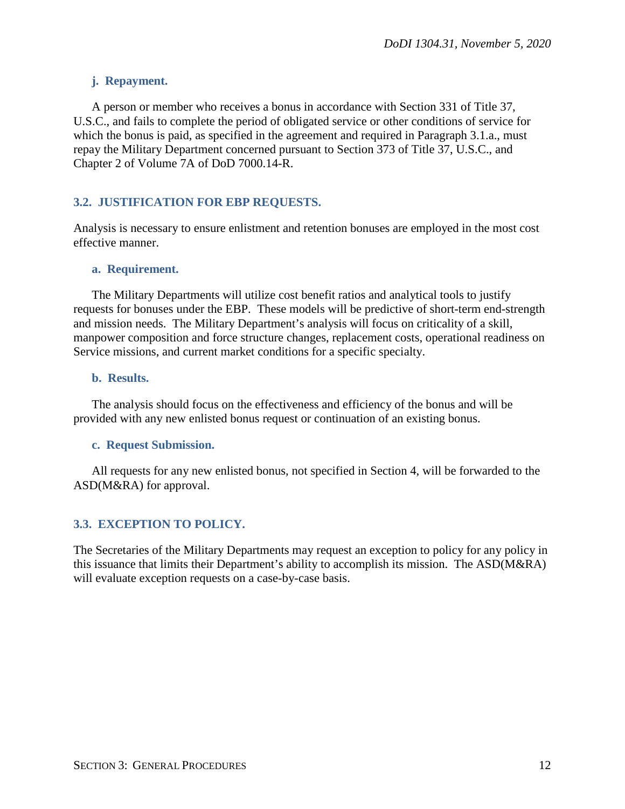## <span id="page-11-0"></span>**j. Repayment.**

A person or member who receives a bonus in accordance with Section 331 of Title 37, U.S.C., and fails to complete the period of obligated service or other conditions of service for which the bonus is paid, as specified in the agreement and required in Paragraph 3.1.a., must repay the Military Department concerned pursuant to Section 373 of Title 37, U.S.C., and Chapter 2 of Volume 7A of DoD 7000.14-R.

## <span id="page-11-1"></span>**3.2. JUSTIFICATION FOR EBP REQUESTS.**

Analysis is necessary to ensure enlistment and retention bonuses are employed in the most cost effective manner.

#### <span id="page-11-2"></span>**a. Requirement.**

The Military Departments will utilize cost benefit ratios and analytical tools to justify requests for bonuses under the EBP. These models will be predictive of short-term end-strength and mission needs. The Military Department's analysis will focus on criticality of a skill, manpower composition and force structure changes, replacement costs, operational readiness on Service missions, and current market conditions for a specific specialty.

#### <span id="page-11-3"></span>**b. Results.**

The analysis should focus on the effectiveness and efficiency of the bonus and will be provided with any new enlisted bonus request or continuation of an existing bonus.

## <span id="page-11-4"></span>**c. Request Submission.**

All requests for any new enlisted bonus, not specified in Section 4, will be forwarded to the ASD(M&RA) for approval.

## <span id="page-11-5"></span>**3.3. EXCEPTION TO POLICY.**

The Secretaries of the Military Departments may request an exception to policy for any policy in this issuance that limits their Department's ability to accomplish its mission. The ASD(M&RA) will evaluate exception requests on a case-by-case basis.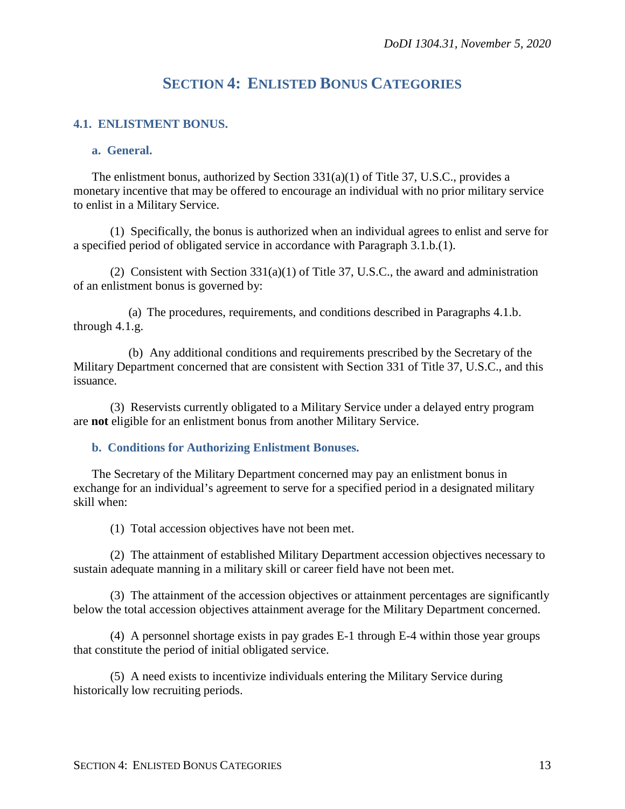## **SECTION 4: ENLISTED BONUS CATEGORIES**

## <span id="page-12-1"></span><span id="page-12-0"></span>**4.1. ENLISTMENT BONUS.**

#### <span id="page-12-2"></span>**a. General.**

The enlistment bonus, authorized by Section 331(a)(1) of Title 37, U.S.C., provides a monetary incentive that may be offered to encourage an individual with no prior military service to enlist in a Military Service.

(1) Specifically, the bonus is authorized when an individual agrees to enlist and serve for a specified period of obligated service in accordance with Paragraph 3.1.b.(1).

(2) Consistent with Section 331(a)(1) of Title 37, U.S.C., the award and administration of an enlistment bonus is governed by:

(a) The procedures, requirements, and conditions described in Paragraphs 4.1.b. through 4.1.g.

(b) Any additional conditions and requirements prescribed by the Secretary of the Military Department concerned that are consistent with Section 331 of Title 37, U.S.C., and this issuance.

(3) Reservists currently obligated to a Military Service under a delayed entry program are **not** eligible for an enlistment bonus from another Military Service.

<span id="page-12-3"></span>**b. Conditions for Authorizing Enlistment Bonuses.**

The Secretary of the Military Department concerned may pay an enlistment bonus in exchange for an individual's agreement to serve for a specified period in a designated military skill when:

(1) Total accession objectives have not been met.

(2) The attainment of established Military Department accession objectives necessary to sustain adequate manning in a military skill or career field have not been met.

(3) The attainment of the accession objectives or attainment percentages are significantly below the total accession objectives attainment average for the Military Department concerned.

(4) A personnel shortage exists in pay grades E-1 through E-4 within those year groups that constitute the period of initial obligated service.

(5) A need exists to incentivize individuals entering the Military Service during historically low recruiting periods.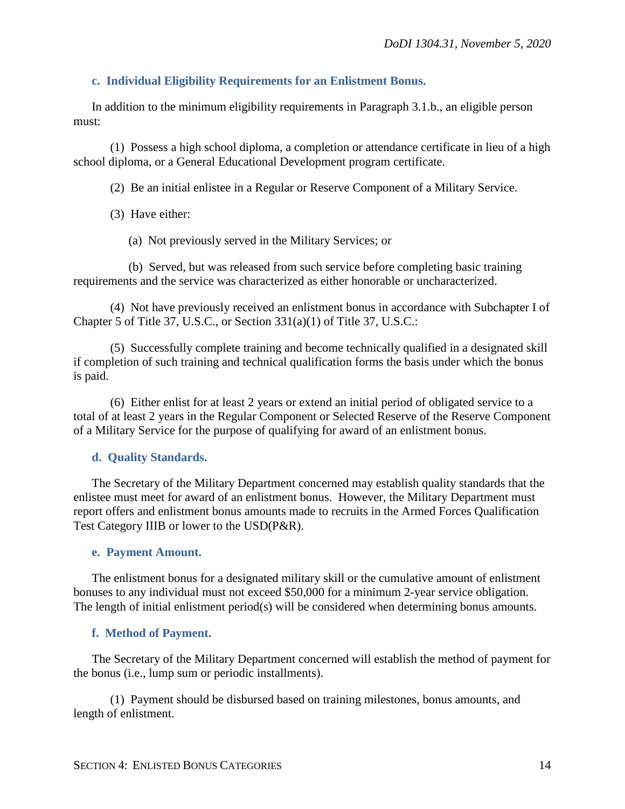## <span id="page-13-0"></span>**c. Individual Eligibility Requirements for an Enlistment Bonus.**

In addition to the minimum eligibility requirements in Paragraph 3.1.b., an eligible person must:

(1) Possess a high school diploma, a completion or attendance certificate in lieu of a high school diploma, or a General Educational Development program certificate.

(2) Be an initial enlistee in a Regular or Reserve Component of a Military Service.

- (3) Have either:
	- (a) Not previously served in the Military Services; or

(b) Served, but was released from such service before completing basic training requirements and the service was characterized as either honorable or uncharacterized.

(4) Not have previously received an enlistment bonus in accordance with Subchapter I of Chapter 5 of Title 37, U.S.C., or Section 331(a)(1) of Title 37, U.S.C.:

(5) Successfully complete training and become technically qualified in a designated skill if completion of such training and technical qualification forms the basis under which the bonus is paid.

(6) Either enlist for at least 2 years or extend an initial period of obligated service to a total of at least 2 years in the Regular Component or Selected Reserve of the Reserve Component of a Military Service for the purpose of qualifying for award of an enlistment bonus.

## <span id="page-13-1"></span>**d. Quality Standards.**

The Secretary of the Military Department concerned may establish quality standards that the enlistee must meet for award of an enlistment bonus. However, the Military Department must report offers and enlistment bonus amounts made to recruits in the Armed Forces Qualification Test Category IIIB or lower to the USD(P&R).

## <span id="page-13-2"></span>**e. Payment Amount.**

The enlistment bonus for a designated military skill or the cumulative amount of enlistment bonuses to any individual must not exceed \$50,000 for a minimum 2-year service obligation. The length of initial enlistment period(s) will be considered when determining bonus amounts.

## <span id="page-13-3"></span>**f. Method of Payment.**

The Secretary of the Military Department concerned will establish the method of payment for the bonus (i.e., lump sum or periodic installments).

(1) Payment should be disbursed based on training milestones, bonus amounts, and length of enlistment.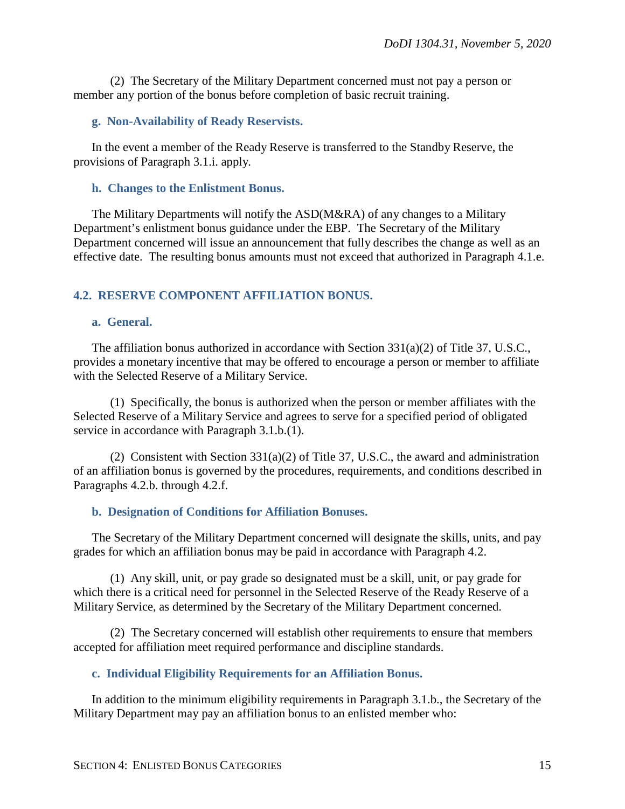(2) The Secretary of the Military Department concerned must not pay a person or member any portion of the bonus before completion of basic recruit training.

#### <span id="page-14-0"></span>**g. Non-Availability of Ready Reservists.**

In the event a member of the Ready Reserve is transferred to the Standby Reserve, the provisions of Paragraph 3.1.i. apply.

#### <span id="page-14-1"></span>**h. Changes to the Enlistment Bonus.**

The Military Departments will notify the ASD(M&RA) of any changes to a Military Department's enlistment bonus guidance under the EBP. The Secretary of the Military Department concerned will issue an announcement that fully describes the change as well as an effective date. The resulting bonus amounts must not exceed that authorized in Paragraph 4.1.e.

#### <span id="page-14-2"></span>**4.2. RESERVE COMPONENT AFFILIATION BONUS.**

#### <span id="page-14-3"></span>**a. General.**

The affiliation bonus authorized in accordance with Section 331(a)(2) of Title 37, U.S.C., provides a monetary incentive that may be offered to encourage a person or member to affiliate with the Selected Reserve of a Military Service.

(1) Specifically, the bonus is authorized when the person or member affiliates with the Selected Reserve of a Military Service and agrees to serve for a specified period of obligated service in accordance with Paragraph 3.1.b.(1).

(2) Consistent with Section  $331(a)(2)$  of Title 37, U.S.C., the award and administration of an affiliation bonus is governed by the procedures, requirements, and conditions described in Paragraphs 4.2.b. through 4.2.f.

#### <span id="page-14-4"></span>**b. Designation of Conditions for Affiliation Bonuses.**

The Secretary of the Military Department concerned will designate the skills, units, and pay grades for which an affiliation bonus may be paid in accordance with Paragraph 4.2.

(1) Any skill, unit, or pay grade so designated must be a skill, unit, or pay grade for which there is a critical need for personnel in the Selected Reserve of the Ready Reserve of a Military Service, as determined by the Secretary of the Military Department concerned.

(2) The Secretary concerned will establish other requirements to ensure that members accepted for affiliation meet required performance and discipline standards.

#### <span id="page-14-5"></span>**c. Individual Eligibility Requirements for an Affiliation Bonus.**

In addition to the minimum eligibility requirements in Paragraph 3.1.b., the Secretary of the Military Department may pay an affiliation bonus to an enlisted member who: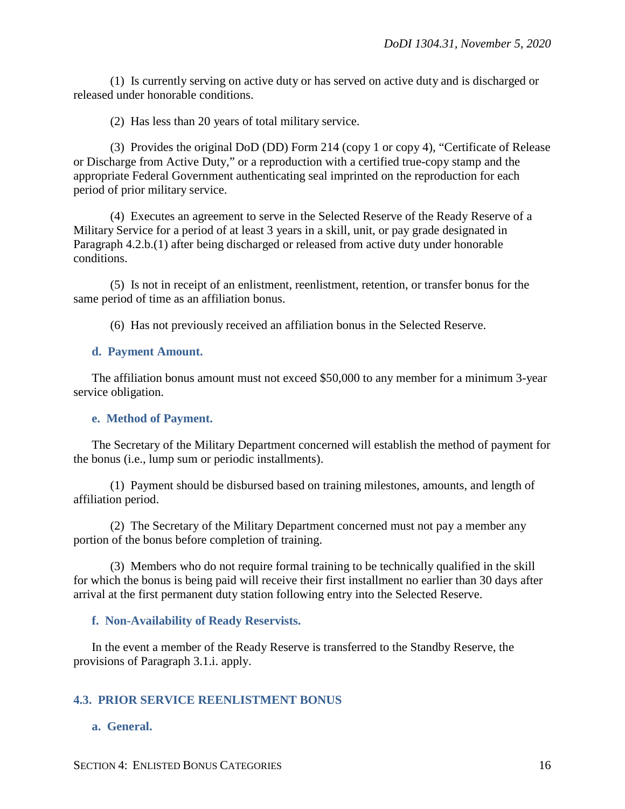(1) Is currently serving on active duty or has served on active duty and is discharged or released under honorable conditions.

(2) Has less than 20 years of total military service.

(3) Provides the original DoD (DD) Form 214 (copy 1 or copy 4), "Certificate of Release or Discharge from Active Duty," or a reproduction with a certified true-copy stamp and the appropriate Federal Government authenticating seal imprinted on the reproduction for each period of prior military service.

(4) Executes an agreement to serve in the Selected Reserve of the Ready Reserve of a Military Service for a period of at least 3 years in a skill, unit, or pay grade designated in Paragraph 4.2.b.(1) after being discharged or released from active duty under honorable conditions.

(5) Is not in receipt of an enlistment, reenlistment, retention, or transfer bonus for the same period of time as an affiliation bonus.

(6) Has not previously received an affiliation bonus in the Selected Reserve.

#### <span id="page-15-0"></span>**d. Payment Amount.**

The affiliation bonus amount must not exceed \$50,000 to any member for a minimum 3-year service obligation.

## <span id="page-15-1"></span>**e. Method of Payment.**

The Secretary of the Military Department concerned will establish the method of payment for the bonus (i.e., lump sum or periodic installments).

(1) Payment should be disbursed based on training milestones, amounts, and length of affiliation period.

(2) The Secretary of the Military Department concerned must not pay a member any portion of the bonus before completion of training.

(3) Members who do not require formal training to be technically qualified in the skill for which the bonus is being paid will receive their first installment no earlier than 30 days after arrival at the first permanent duty station following entry into the Selected Reserve.

## <span id="page-15-2"></span>**f. Non-Availability of Ready Reservists.**

In the event a member of the Ready Reserve is transferred to the Standby Reserve, the provisions of Paragraph 3.1.i. apply.

## <span id="page-15-3"></span>**4.3. PRIOR SERVICE REENLISTMENT BONUS**

## <span id="page-15-4"></span>**a. General.**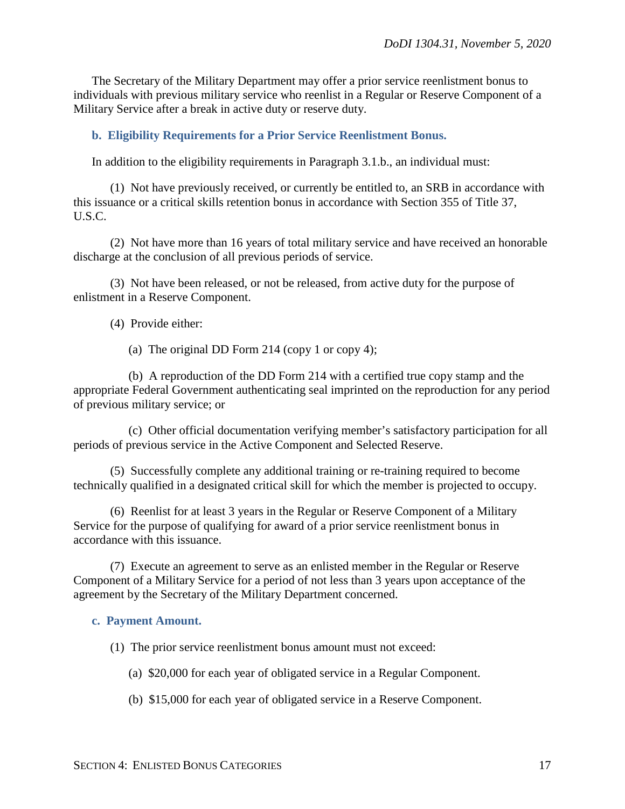The Secretary of the Military Department may offer a prior service reenlistment bonus to individuals with previous military service who reenlist in a Regular or Reserve Component of a Military Service after a break in active duty or reserve duty.

#### <span id="page-16-0"></span>**b. Eligibility Requirements for a Prior Service Reenlistment Bonus.**

In addition to the eligibility requirements in Paragraph 3.1.b., an individual must:

(1) Not have previously received, or currently be entitled to, an SRB in accordance with this issuance or a critical skills retention bonus in accordance with Section 355 of Title 37, U.S.C.

(2) Not have more than 16 years of total military service and have received an honorable discharge at the conclusion of all previous periods of service.

(3) Not have been released, or not be released, from active duty for the purpose of enlistment in a Reserve Component.

(4) Provide either:

(a) The original DD Form 214 (copy 1 or copy 4);

(b) A reproduction of the DD Form 214 with a certified true copy stamp and the appropriate Federal Government authenticating seal imprinted on the reproduction for any period of previous military service; or

(c) Other official documentation verifying member's satisfactory participation for all periods of previous service in the Active Component and Selected Reserve.

(5) Successfully complete any additional training or re-training required to become technically qualified in a designated critical skill for which the member is projected to occupy.

(6) Reenlist for at least 3 years in the Regular or Reserve Component of a Military Service for the purpose of qualifying for award of a prior service reenlistment bonus in accordance with this issuance.

(7) Execute an agreement to serve as an enlisted member in the Regular or Reserve Component of a Military Service for a period of not less than 3 years upon acceptance of the agreement by the Secretary of the Military Department concerned.

#### <span id="page-16-1"></span>**c. Payment Amount.**

(1) The prior service reenlistment bonus amount must not exceed:

- (a) \$20,000 for each year of obligated service in a Regular Component.
- (b) \$15,000 for each year of obligated service in a Reserve Component.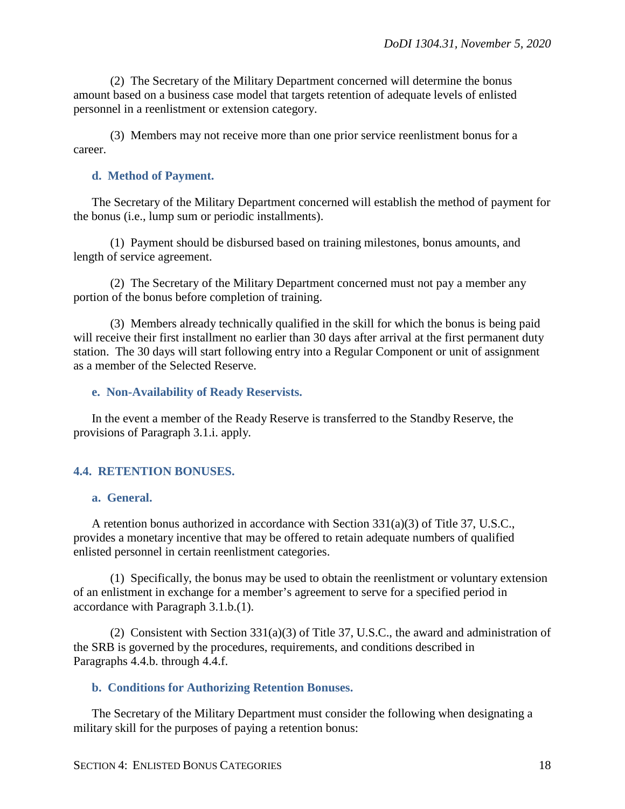(2) The Secretary of the Military Department concerned will determine the bonus amount based on a business case model that targets retention of adequate levels of enlisted personnel in a reenlistment or extension category.

(3) Members may not receive more than one prior service reenlistment bonus for a career.

#### <span id="page-17-0"></span>**d. Method of Payment.**

The Secretary of the Military Department concerned will establish the method of payment for the bonus (i.e., lump sum or periodic installments).

(1) Payment should be disbursed based on training milestones, bonus amounts, and length of service agreement.

(2) The Secretary of the Military Department concerned must not pay a member any portion of the bonus before completion of training.

(3) Members already technically qualified in the skill for which the bonus is being paid will receive their first installment no earlier than 30 days after arrival at the first permanent duty station. The 30 days will start following entry into a Regular Component or unit of assignment as a member of the Selected Reserve.

#### <span id="page-17-1"></span>**e. Non-Availability of Ready Reservists.**

In the event a member of the Ready Reserve is transferred to the Standby Reserve, the provisions of Paragraph 3.1.i. apply.

#### <span id="page-17-2"></span>**4.4. RETENTION BONUSES.**

#### <span id="page-17-3"></span>**a. General.**

A retention bonus authorized in accordance with Section 331(a)(3) of Title 37, U.S.C., provides a monetary incentive that may be offered to retain adequate numbers of qualified enlisted personnel in certain reenlistment categories.

(1) Specifically, the bonus may be used to obtain the reenlistment or voluntary extension of an enlistment in exchange for a member's agreement to serve for a specified period in accordance with Paragraph 3.1.b.(1).

(2) Consistent with Section 331(a)(3) of Title 37, U.S.C., the award and administration of the SRB is governed by the procedures, requirements, and conditions described in Paragraphs 4.4.b. through 4.4.f.

#### <span id="page-17-4"></span>**b. Conditions for Authorizing Retention Bonuses.**

The Secretary of the Military Department must consider the following when designating a military skill for the purposes of paying a retention bonus: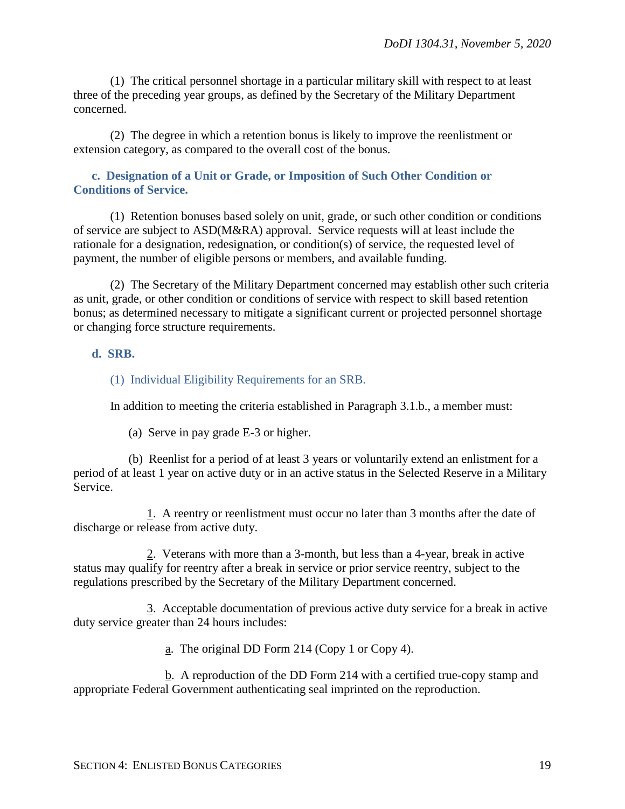(1) The critical personnel shortage in a particular military skill with respect to at least three of the preceding year groups, as defined by the Secretary of the Military Department concerned.

(2) The degree in which a retention bonus is likely to improve the reenlistment or extension category, as compared to the overall cost of the bonus.

## <span id="page-18-0"></span>**c. Designation of a Unit or Grade, or Imposition of Such Other Condition or Conditions of Service.**

(1) Retention bonuses based solely on unit, grade, or such other condition or conditions of service are subject to ASD(M&RA) approval. Service requests will at least include the rationale for a designation, redesignation, or condition(s) of service, the requested level of payment, the number of eligible persons or members, and available funding.

(2) The Secretary of the Military Department concerned may establish other such criteria as unit, grade, or other condition or conditions of service with respect to skill based retention bonus; as determined necessary to mitigate a significant current or projected personnel shortage or changing force structure requirements.

## <span id="page-18-1"></span>**d. SRB.**

(1) Individual Eligibility Requirements for an SRB.

In addition to meeting the criteria established in Paragraph 3.1.b., a member must:

(a) Serve in pay grade E-3 or higher.

(b) Reenlist for a period of at least 3 years or voluntarily extend an enlistment for a period of at least 1 year on active duty or in an active status in the Selected Reserve in a Military Service.

1. A reentry or reenlistment must occur no later than 3 months after the date of discharge or release from active duty.

2. Veterans with more than a 3-month, but less than a 4-year, break in active status may qualify for reentry after a break in service or prior service reentry, subject to the regulations prescribed by the Secretary of the Military Department concerned.

3. Acceptable documentation of previous active duty service for a break in active duty service greater than 24 hours includes:

a. The original DD Form 214 (Copy 1 or Copy 4).

b. A reproduction of the DD Form 214 with a certified true-copy stamp and appropriate Federal Government authenticating seal imprinted on the reproduction.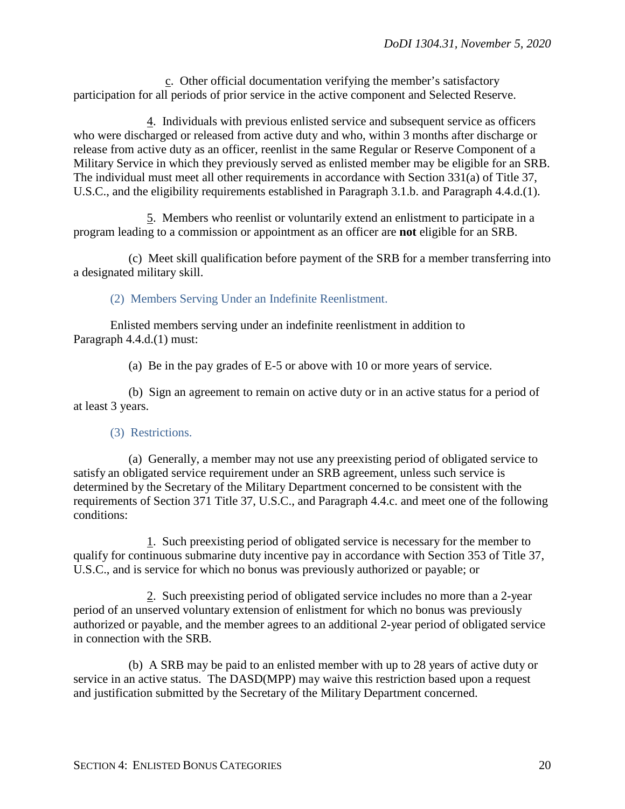c. Other official documentation verifying the member's satisfactory participation for all periods of prior service in the active component and Selected Reserve.

4. Individuals with previous enlisted service and subsequent service as officers who were discharged or released from active duty and who, within 3 months after discharge or release from active duty as an officer, reenlist in the same Regular or Reserve Component of a Military Service in which they previously served as enlisted member may be eligible for an SRB. The individual must meet all other requirements in accordance with Section 331(a) of Title 37, U.S.C., and the eligibility requirements established in Paragraph 3.1.b. and Paragraph 4.4.d.(1).

5. Members who reenlist or voluntarily extend an enlistment to participate in a program leading to a commission or appointment as an officer are **not** eligible for an SRB.

(c) Meet skill qualification before payment of the SRB for a member transferring into a designated military skill.

(2) Members Serving Under an Indefinite Reenlistment.

Enlisted members serving under an indefinite reenlistment in addition to Paragraph 4.4.d.(1) must:

(a) Be in the pay grades of E-5 or above with 10 or more years of service.

(b) Sign an agreement to remain on active duty or in an active status for a period of at least 3 years.

## (3) Restrictions.

(a) Generally, a member may not use any preexisting period of obligated service to satisfy an obligated service requirement under an SRB agreement, unless such service is determined by the Secretary of the Military Department concerned to be consistent with the requirements of Section 371 Title 37, U.S.C., and Paragraph 4.4.c. and meet one of the following conditions:

1. Such preexisting period of obligated service is necessary for the member to qualify for continuous submarine duty incentive pay in accordance with Section 353 of Title 37, U.S.C., and is service for which no bonus was previously authorized or payable; or

2. Such preexisting period of obligated service includes no more than a 2-year period of an unserved voluntary extension of enlistment for which no bonus was previously authorized or payable, and the member agrees to an additional 2-year period of obligated service in connection with the SRB.

(b) A SRB may be paid to an enlisted member with up to 28 years of active duty or service in an active status. The DASD(MPP) may waive this restriction based upon a request and justification submitted by the Secretary of the Military Department concerned.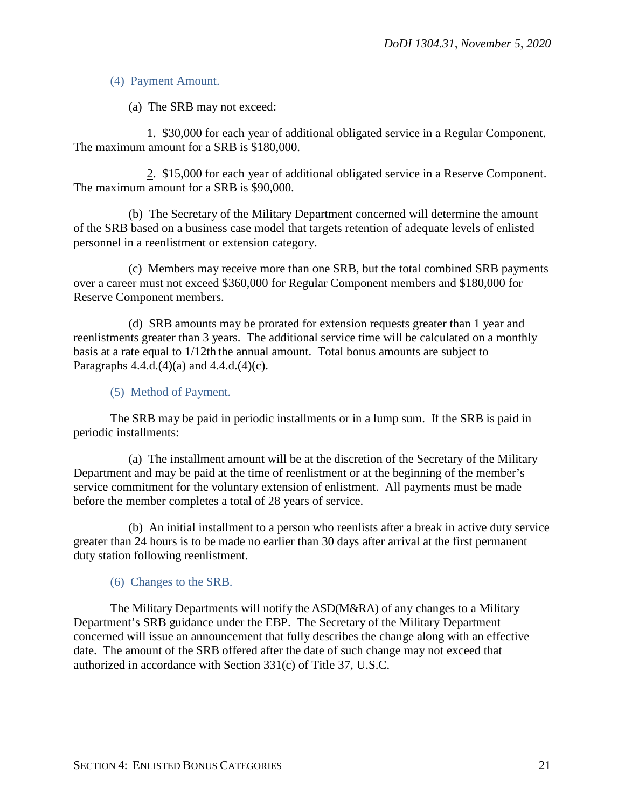(4) Payment Amount.

(a) The SRB may not exceed:

1. \$30,000 for each year of additional obligated service in a Regular Component. The maximum amount for a SRB is \$180,000.

2. \$15,000 for each year of additional obligated service in a Reserve Component. The maximum amount for a SRB is \$90,000.

(b) The Secretary of the Military Department concerned will determine the amount of the SRB based on a business case model that targets retention of adequate levels of enlisted personnel in a reenlistment or extension category.

(c) Members may receive more than one SRB, but the total combined SRB payments over a career must not exceed \$360,000 for Regular Component members and \$180,000 for Reserve Component members.

(d) SRB amounts may be prorated for extension requests greater than 1 year and reenlistments greater than 3 years. The additional service time will be calculated on a monthly basis at a rate equal to 1/12th the annual amount. Total bonus amounts are subject to Paragraphs  $4.4.d.(4)(a)$  and  $4.4.d.(4)(c)$ .

(5) Method of Payment.

The SRB may be paid in periodic installments or in a lump sum. If the SRB is paid in periodic installments:

(a) The installment amount will be at the discretion of the Secretary of the Military Department and may be paid at the time of reenlistment or at the beginning of the member's service commitment for the voluntary extension of enlistment. All payments must be made before the member completes a total of 28 years of service.

(b) An initial installment to a person who reenlists after a break in active duty service greater than 24 hours is to be made no earlier than 30 days after arrival at the first permanent duty station following reenlistment.

(6) Changes to the SRB.

The Military Departments will notify the ASD(M&RA) of any changes to a Military Department's SRB guidance under the EBP. The Secretary of the Military Department concerned will issue an announcement that fully describes the change along with an effective date. The amount of the SRB offered after the date of such change may not exceed that authorized in accordance with Section 331(c) of Title 37, U.S.C.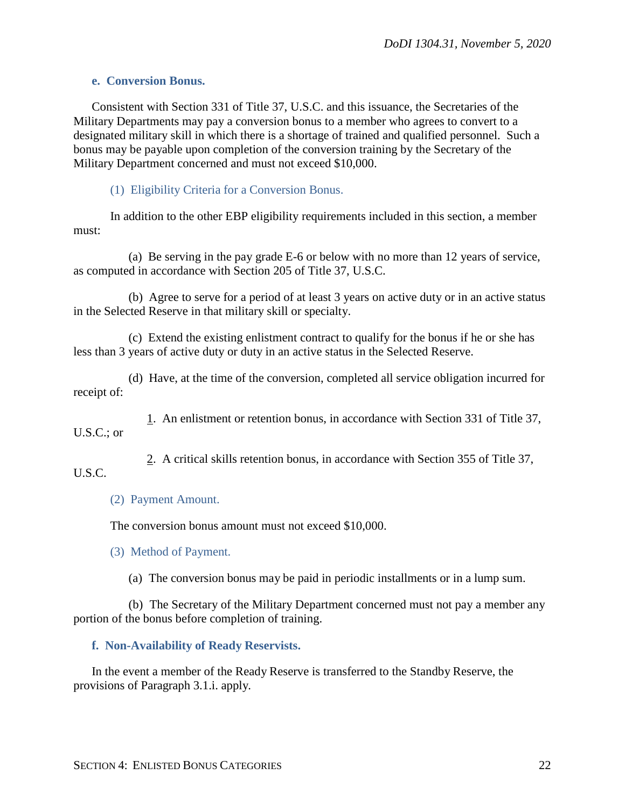#### <span id="page-21-0"></span>**e. Conversion Bonus.**

Consistent with Section 331 of Title 37, U.S.C. and this issuance, the Secretaries of the Military Departments may pay a conversion bonus to a member who agrees to convert to a designated military skill in which there is a shortage of trained and qualified personnel. Such a bonus may be payable upon completion of the conversion training by the Secretary of the Military Department concerned and must not exceed \$10,000.

#### (1) Eligibility Criteria for a Conversion Bonus.

In addition to the other EBP eligibility requirements included in this section, a member must:

(a) Be serving in the pay grade E-6 or below with no more than 12 years of service, as computed in accordance with Section 205 of Title 37, U.S.C.

(b) Agree to serve for a period of at least 3 years on active duty or in an active status in the Selected Reserve in that military skill or specialty.

(c) Extend the existing enlistment contract to qualify for the bonus if he or she has less than 3 years of active duty or duty in an active status in the Selected Reserve.

(d) Have, at the time of the conversion, completed all service obligation incurred for receipt of:

1. An enlistment or retention bonus, in accordance with Section 331 of Title 37, U.S.C.; or

2. A critical skills retention bonus, in accordance with Section 355 of Title 37,

U.S.C.

## (2) Payment Amount.

The conversion bonus amount must not exceed \$10,000.

(3) Method of Payment.

(a) The conversion bonus may be paid in periodic installments or in a lump sum.

(b) The Secretary of the Military Department concerned must not pay a member any portion of the bonus before completion of training.

## <span id="page-21-1"></span>**f. Non-Availability of Ready Reservists.**

In the event a member of the Ready Reserve is transferred to the Standby Reserve, the provisions of Paragraph 3.1.i. apply.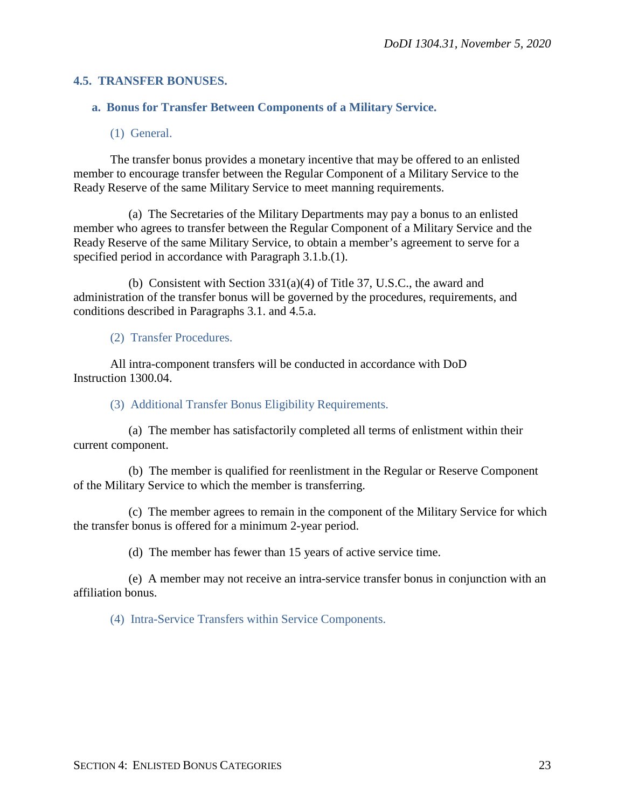#### <span id="page-22-0"></span>**4.5. TRANSFER BONUSES.**

## <span id="page-22-1"></span>**a. Bonus for Transfer Between Components of a Military Service.**

(1) General.

The transfer bonus provides a monetary incentive that may be offered to an enlisted member to encourage transfer between the Regular Component of a Military Service to the Ready Reserve of the same Military Service to meet manning requirements.

(a) The Secretaries of the Military Departments may pay a bonus to an enlisted member who agrees to transfer between the Regular Component of a Military Service and the Ready Reserve of the same Military Service, to obtain a member's agreement to serve for a specified period in accordance with Paragraph 3.1.b.(1).

(b) Consistent with Section 331(a)(4) of Title 37, U.S.C., the award and administration of the transfer bonus will be governed by the procedures, requirements, and conditions described in Paragraphs 3.1. and 4.5.a.

(2) Transfer Procedures.

All intra-component transfers will be conducted in accordance with DoD Instruction 1300.04.

(3) Additional Transfer Bonus Eligibility Requirements.

(a) The member has satisfactorily completed all terms of enlistment within their current component.

(b) The member is qualified for reenlistment in the Regular or Reserve Component of the Military Service to which the member is transferring.

(c) The member agrees to remain in the component of the Military Service for which the transfer bonus is offered for a minimum 2-year period.

(d) The member has fewer than 15 years of active service time.

(e) A member may not receive an intra-service transfer bonus in conjunction with an affiliation bonus.

(4) Intra-Service Transfers within Service Components.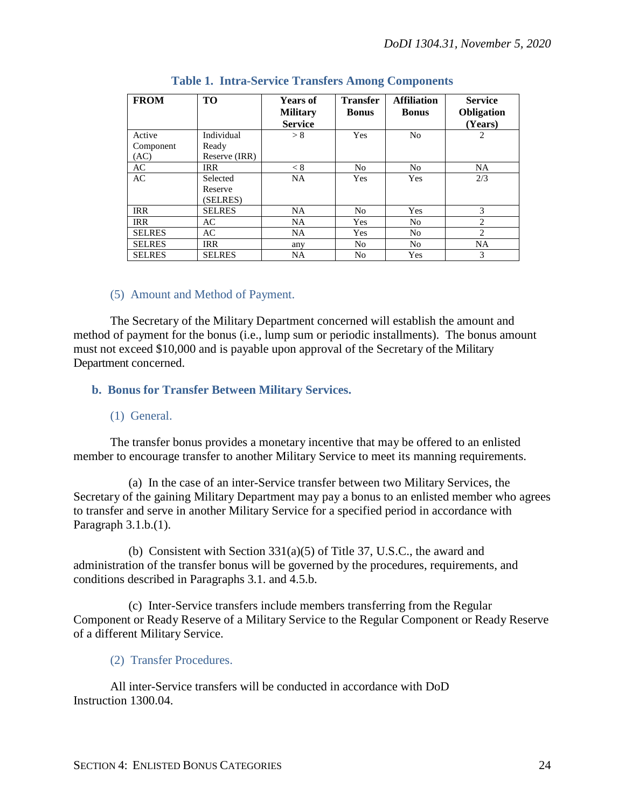| <b>FROM</b>   | <b>TO</b>     | <b>Years of</b><br><b>Military</b><br><b>Service</b> | <b>Transfer</b><br><b>Bonus</b> | <b>Affiliation</b><br><b>Bonus</b> | <b>Service</b><br>Obligation<br>(Years) |
|---------------|---------------|------------------------------------------------------|---------------------------------|------------------------------------|-----------------------------------------|
| Active        | Individual    | > 8                                                  | <b>Yes</b>                      | N <sub>o</sub>                     | 2                                       |
| Component     | Ready         |                                                      |                                 |                                    |                                         |
| (AC)          | Reserve (IRR) |                                                      |                                 |                                    |                                         |
| AC            | <b>IRR</b>    | < 8                                                  | N <sub>o</sub>                  | N <sub>o</sub>                     | <b>NA</b>                               |
| AC            | Selected      | <b>NA</b>                                            | Yes                             | <b>Yes</b>                         | 2/3                                     |
|               | Reserve       |                                                      |                                 |                                    |                                         |
|               | (SELRES)      |                                                      |                                 |                                    |                                         |
| <b>IRR</b>    | <b>SELRES</b> | <b>NA</b>                                            | N <sub>o</sub>                  | Yes                                | 3                                       |
| <b>IRR</b>    | AC            | <b>NA</b>                                            | Yes                             | N <sub>o</sub>                     | 2                                       |
| <b>SELRES</b> | AC            | <b>NA</b>                                            | Yes                             | N <sub>o</sub>                     | 2                                       |
| <b>SELRES</b> | <b>IRR</b>    | any                                                  | N <sub>0</sub>                  | N <sub>o</sub>                     | <b>NA</b>                               |
| <b>SELRES</b> | <b>SELRES</b> | NA.                                                  | N <sub>0</sub>                  | Yes                                | 3                                       |

#### **Table 1. Intra-Service Transfers Among Components**

#### (5) Amount and Method of Payment.

The Secretary of the Military Department concerned will establish the amount and method of payment for the bonus (i.e., lump sum or periodic installments). The bonus amount must not exceed \$10,000 and is payable upon approval of the Secretary of the Military Department concerned.

## <span id="page-23-0"></span>**b. Bonus for Transfer Between Military Services.**

#### (1) General.

The transfer bonus provides a monetary incentive that may be offered to an enlisted member to encourage transfer to another Military Service to meet its manning requirements.

(a) In the case of an inter-Service transfer between two Military Services, the Secretary of the gaining Military Department may pay a bonus to an enlisted member who agrees to transfer and serve in another Military Service for a specified period in accordance with Paragraph 3.1.b.(1).

(b) Consistent with Section 331(a)(5) of Title 37, U.S.C., the award and administration of the transfer bonus will be governed by the procedures, requirements, and conditions described in Paragraphs 3.1. and 4.5.b.

(c) Inter-Service transfers include members transferring from the Regular Component or Ready Reserve of a Military Service to the Regular Component or Ready Reserve of a different Military Service.

#### (2) Transfer Procedures.

All inter-Service transfers will be conducted in accordance with DoD Instruction 1300.04.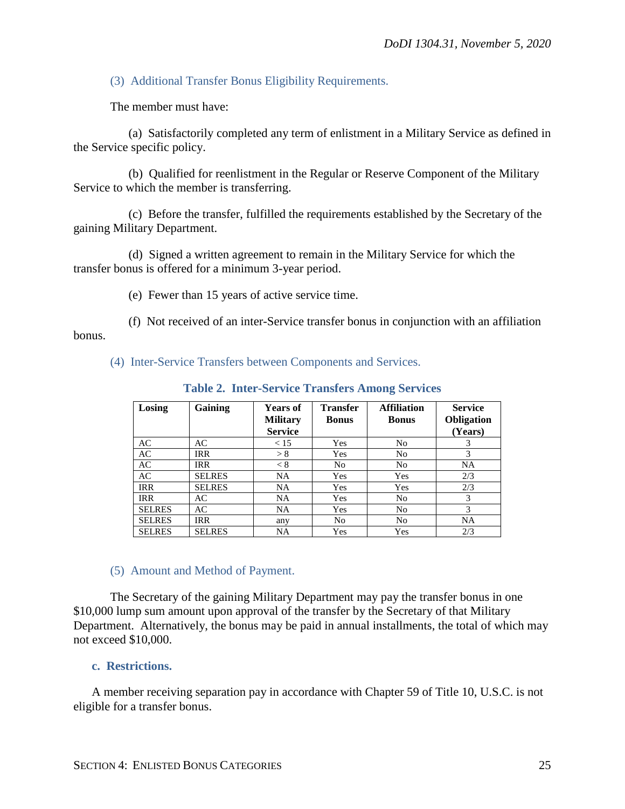(3) Additional Transfer Bonus Eligibility Requirements.

The member must have:

(a) Satisfactorily completed any term of enlistment in a Military Service as defined in the Service specific policy.

(b) Qualified for reenlistment in the Regular or Reserve Component of the Military Service to which the member is transferring.

(c) Before the transfer, fulfilled the requirements established by the Secretary of the gaining Military Department.

(d) Signed a written agreement to remain in the Military Service for which the transfer bonus is offered for a minimum 3-year period.

(e) Fewer than 15 years of active service time.

(f) Not received of an inter-Service transfer bonus in conjunction with an affiliation bonus.

(4) Inter-Service Transfers between Components and Services.

| Losing        | Gaining       | <b>Years of</b><br><b>Military</b><br><b>Service</b> | <b>Transfer</b><br><b>Bonus</b> | <b>Affiliation</b><br><b>Bonus</b> | <b>Service</b><br><b>Obligation</b><br>(Years) |
|---------------|---------------|------------------------------------------------------|---------------------------------|------------------------------------|------------------------------------------------|
| AC            | AC            | < 15                                                 | Yes                             | N <sub>0</sub>                     | 3                                              |
| AC            | <b>IRR</b>    | > 8                                                  | <b>Yes</b>                      | N <sub>0</sub>                     | 3                                              |
| AC            | <b>IRR</b>    | < 8                                                  | No                              | N <sub>0</sub>                     | <b>NA</b>                                      |
| AC            | <b>SELRES</b> | NA                                                   | Yes                             | <b>Yes</b>                         | 2/3                                            |
| <b>IRR</b>    | <b>SELRES</b> | <b>NA</b>                                            | <b>Yes</b>                      | <b>Yes</b>                         | 2/3                                            |
| <b>IRR</b>    | AC            | NA                                                   | Yes                             | N <sub>0</sub>                     | 3                                              |
| <b>SELRES</b> | AC            | NA                                                   | Yes                             | N <sub>0</sub>                     | 3                                              |
| <b>SELRES</b> | <b>IRR</b>    | any                                                  | No                              | N <sub>0</sub>                     | <b>NA</b>                                      |
| <b>SELRES</b> | <b>SELRES</b> | NA                                                   | Yes                             | Yes                                | 2/3                                            |

**Table 2. Inter-Service Transfers Among Services**

## (5) Amount and Method of Payment.

The Secretary of the gaining Military Department may pay the transfer bonus in one \$10,000 lump sum amount upon approval of the transfer by the Secretary of that Military Department. Alternatively, the bonus may be paid in annual installments, the total of which may not exceed \$10,000.

## <span id="page-24-0"></span>**c. Restrictions.**

A member receiving separation pay in accordance with Chapter 59 of Title 10, U.S.C. is not eligible for a transfer bonus.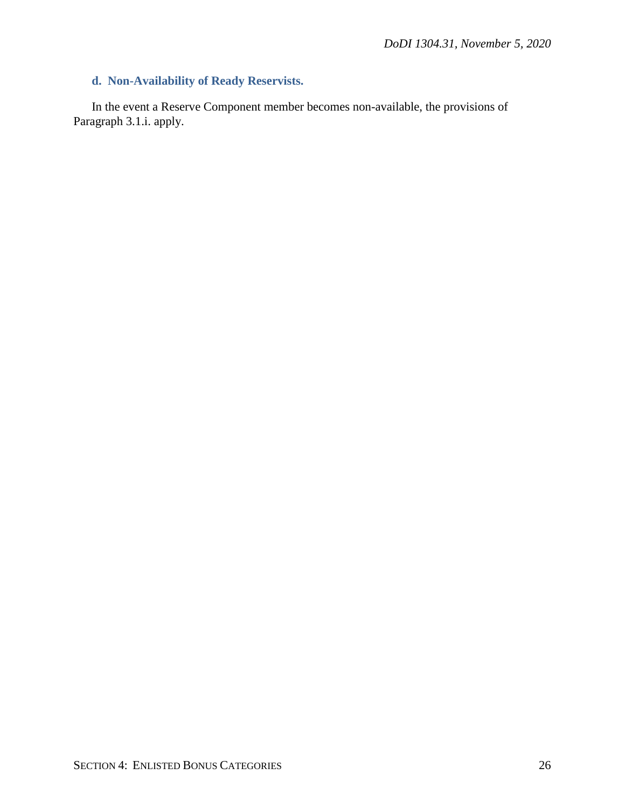## <span id="page-25-0"></span>**d. Non-Availability of Ready Reservists.**

In the event a Reserve Component member becomes non-available, the provisions of Paragraph 3.1.i. apply.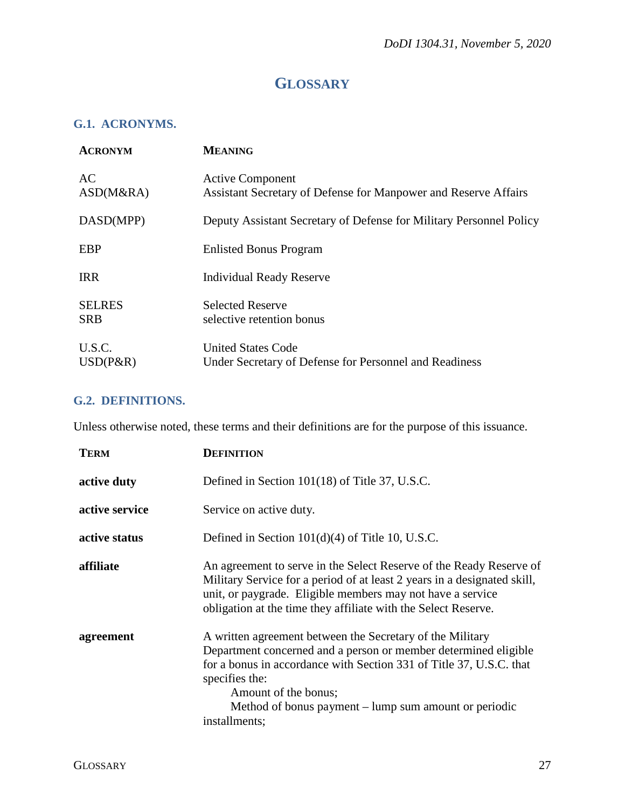## **GLOSSARY**

## <span id="page-26-1"></span><span id="page-26-0"></span>**G.1. ACRONYMS.**

| <b>ACRONYM</b>              | <b>MEANING</b>                                                                             |
|-----------------------------|--------------------------------------------------------------------------------------------|
| AC<br>ASD(M&RA)             | <b>Active Component</b><br>Assistant Secretary of Defense for Manpower and Reserve Affairs |
| DASD(MPP)                   | Deputy Assistant Secretary of Defense for Military Personnel Policy                        |
| <b>EBP</b>                  | <b>Enlisted Bonus Program</b>                                                              |
| <b>IRR</b>                  | <b>Individual Ready Reserve</b>                                                            |
| <b>SELRES</b><br><b>SRB</b> | <b>Selected Reserve</b><br>selective retention bonus                                       |
| U.S.C.<br>$USD(P\&R)$       | <b>United States Code</b><br>Under Secretary of Defense for Personnel and Readiness        |

## <span id="page-26-2"></span>**G.2. DEFINITIONS.**

Unless otherwise noted, these terms and their definitions are for the purpose of this issuance.

| <b>TERM</b>    | <b>DEFINITION</b>                                                                                                                                                                                                                                                                                                       |
|----------------|-------------------------------------------------------------------------------------------------------------------------------------------------------------------------------------------------------------------------------------------------------------------------------------------------------------------------|
| active duty    | Defined in Section 101(18) of Title 37, U.S.C.                                                                                                                                                                                                                                                                          |
| active service | Service on active duty.                                                                                                                                                                                                                                                                                                 |
| active status  | Defined in Section $101(d)(4)$ of Title 10, U.S.C.                                                                                                                                                                                                                                                                      |
| affiliate      | An agreement to serve in the Select Reserve of the Ready Reserve of<br>Military Service for a period of at least 2 years in a designated skill,<br>unit, or paygrade. Eligible members may not have a service<br>obligation at the time they affiliate with the Select Reserve.                                         |
| agreement      | A written agreement between the Secretary of the Military<br>Department concerned and a person or member determined eligible<br>for a bonus in accordance with Section 331 of Title 37, U.S.C. that<br>specifies the:<br>Amount of the bonus;<br>Method of bonus payment – lump sum amount or periodic<br>installments; |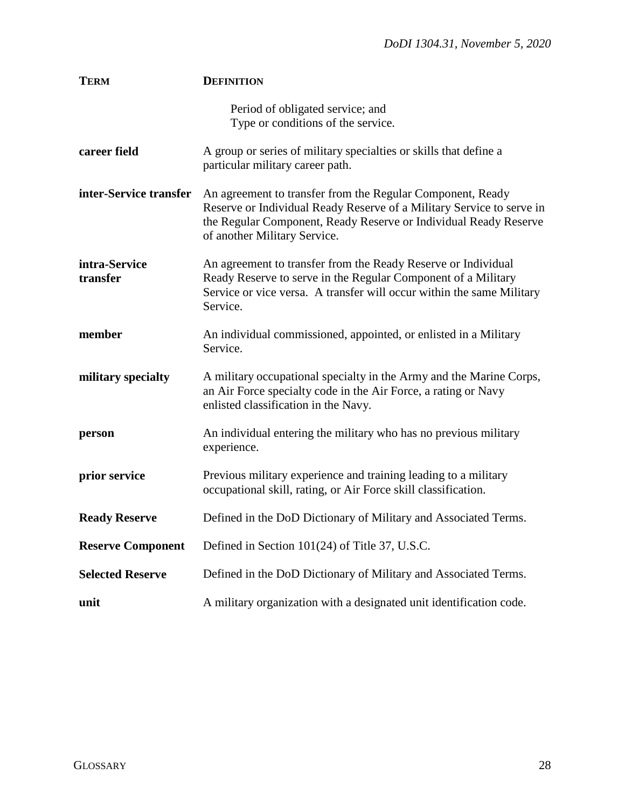| <b>TERM</b>               | <b>DEFINITION</b>                                                                                                                                                                                                                       |
|---------------------------|-----------------------------------------------------------------------------------------------------------------------------------------------------------------------------------------------------------------------------------------|
|                           | Period of obligated service; and<br>Type or conditions of the service.                                                                                                                                                                  |
| career field              | A group or series of military specialties or skills that define a<br>particular military career path.                                                                                                                                   |
| inter-Service transfer    | An agreement to transfer from the Regular Component, Ready<br>Reserve or Individual Ready Reserve of a Military Service to serve in<br>the Regular Component, Ready Reserve or Individual Ready Reserve<br>of another Military Service. |
| intra-Service<br>transfer | An agreement to transfer from the Ready Reserve or Individual<br>Ready Reserve to serve in the Regular Component of a Military<br>Service or vice versa. A transfer will occur within the same Military<br>Service.                     |
| member                    | An individual commissioned, appointed, or enlisted in a Military<br>Service.                                                                                                                                                            |
| military specialty        | A military occupational specialty in the Army and the Marine Corps,<br>an Air Force specialty code in the Air Force, a rating or Navy<br>enlisted classification in the Navy.                                                           |
| person                    | An individual entering the military who has no previous military<br>experience.                                                                                                                                                         |
| prior service             | Previous military experience and training leading to a military<br>occupational skill, rating, or Air Force skill classification.                                                                                                       |
| <b>Ready Reserve</b>      | Defined in the DoD Dictionary of Military and Associated Terms.                                                                                                                                                                         |
| <b>Reserve Component</b>  | Defined in Section 101(24) of Title 37, U.S.C.                                                                                                                                                                                          |
| <b>Selected Reserve</b>   | Defined in the DoD Dictionary of Military and Associated Terms.                                                                                                                                                                         |
| unit                      | A military organization with a designated unit identification code.                                                                                                                                                                     |